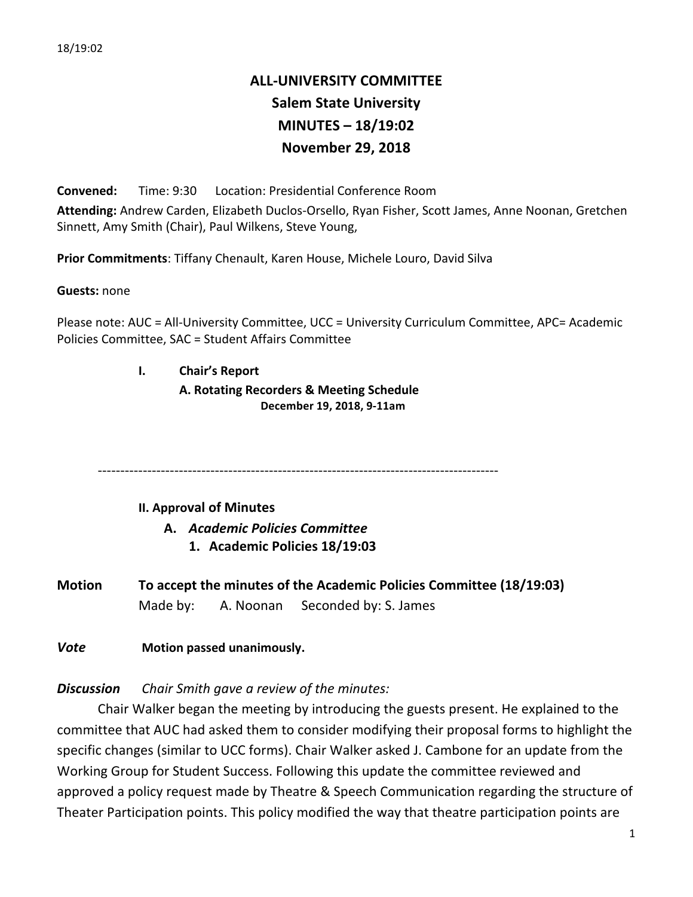# **ALL-UNIVERSITY COMMITTEE Salem State University MINUTES – 18/19:02 November 29, 2018**

**Convened:** Time: 9:30 Location: Presidential Conference Room Attending: Andrew Carden, Elizabeth Duclos-Orsello, Ryan Fisher, Scott James, Anne Noonan, Gretchen Sinnett, Amy Smith (Chair), Paul Wilkens, Steve Young,

Prior Commitments: Tiffany Chenault, Karen House, Michele Louro, David Silva

**Guests:** none

Please note: AUC = All-University Committee, UCC = University Curriculum Committee, APC= Academic Policies Committee, SAC = Student Affairs Committee

**I. Chair's Report**

**A. Rotating Recorders & Meeting Schedule December 19, 2018, 9-11am**

-----------------------------------------------------------------------------------------

# **II. Approval of Minutes**

**A.** *Academic Policies Committee* **1. Academic Policies 18/19:03**

**Motion To accept the minutes of the Academic Policies Committee (18/19:03)** Made by: A. Noonan Seconded by: S. James

**Vote Motion passed unanimously.** 

**Discussion** Chair Smith gave a review of the minutes:

Chair Walker began the meeting by introducing the guests present. He explained to the committee that AUC had asked them to consider modifying their proposal forms to highlight the specific changes (similar to UCC forms). Chair Walker asked J. Cambone for an update from the Working Group for Student Success. Following this update the committee reviewed and approved a policy request made by Theatre & Speech Communication regarding the structure of Theater Participation points. This policy modified the way that theatre participation points are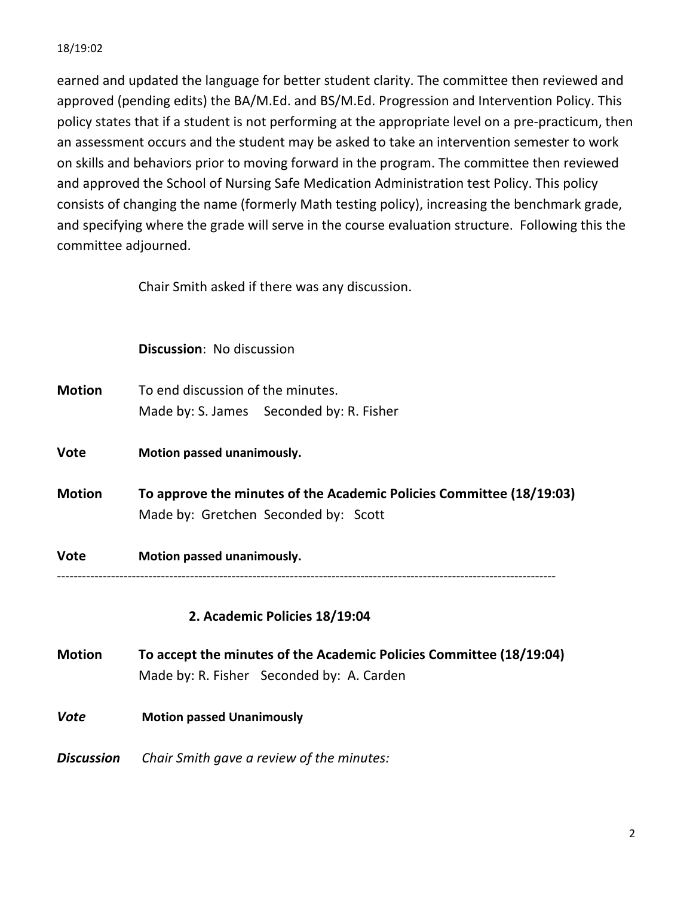### 18/19:02

earned and updated the language for better student clarity. The committee then reviewed and approved (pending edits) the BA/M.Ed. and BS/M.Ed. Progression and Intervention Policy. This policy states that if a student is not performing at the appropriate level on a pre-practicum, then an assessment occurs and the student may be asked to take an intervention semester to work on skills and behaviors prior to moving forward in the program. The committee then reviewed and approved the School of Nursing Safe Medication Administration test Policy. This policy consists of changing the name (formerly Math testing policy), increasing the benchmark grade, and specifying where the grade will serve in the course evaluation structure. Following this the committee adjourned.

Chair Smith asked if there was any discussion.

- **Motion** To end discussion of the minutes. Made by: S. James Seconded by: R. Fisher
- **Vote Motion passed unanimously.**
- **Motion To approve the minutes of the Academic Policies Committee (18/19:03)** Made by: Gretchen Seconded by: Scott

**Vote Motion passed unanimously.** 

------------------------------------------------------------------------------------------------------------------------

# **2. Academic Policies 18/19:04**

- **Motion To accept the minutes of the Academic Policies Committee (18/19:04)** Made by: R. Fisher Seconded by: A. Carden
- **Vote Motion passed Unanimously**

**Discussion** Chair Smith gave a review of the minutes: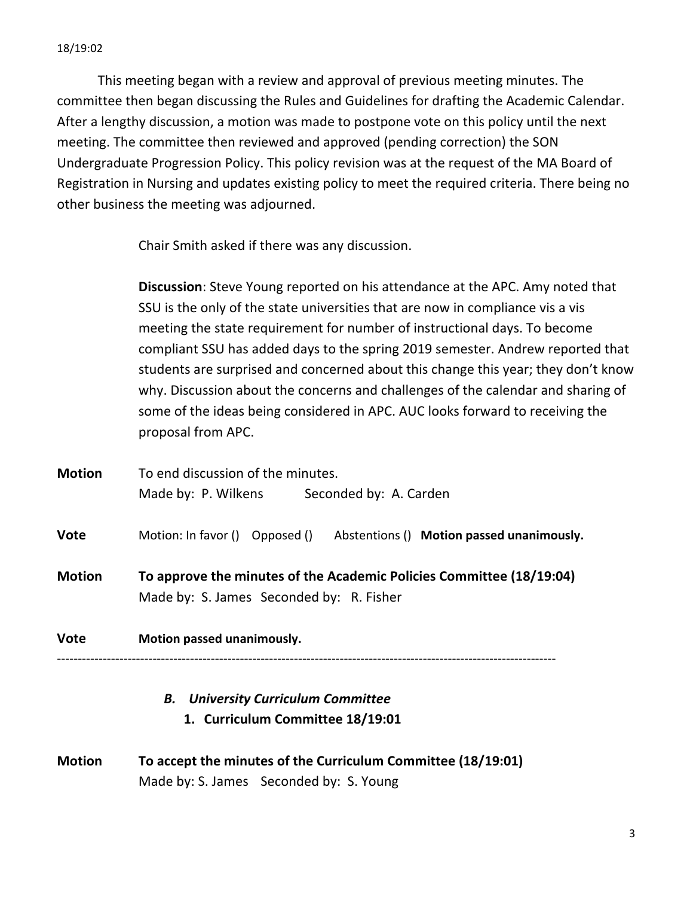This meeting began with a review and approval of previous meeting minutes. The committee then began discussing the Rules and Guidelines for drafting the Academic Calendar. After a lengthy discussion, a motion was made to postpone vote on this policy until the next meeting. The committee then reviewed and approved (pending correction) the SON Undergraduate Progression Policy. This policy revision was at the request of the MA Board of Registration in Nursing and updates existing policy to meet the required criteria. There being no other business the meeting was adjourned.

Chair Smith asked if there was any discussion.

**Discussion**: Steve Young reported on his attendance at the APC. Amy noted that SSU is the only of the state universities that are now in compliance vis a vis meeting the state requirement for number of instructional days. To become compliant SSU has added days to the spring 2019 semester. Andrew reported that students are surprised and concerned about this change this year; they don't know why. Discussion about the concerns and challenges of the calendar and sharing of some of the ideas being considered in APC. AUC looks forward to receiving the proposal from APC.

| <b>Motion</b> | To end discussion of the minutes.                                                                                |  |  |
|---------------|------------------------------------------------------------------------------------------------------------------|--|--|
|               | Made by: P. Wilkens Seconded by: A. Carden                                                                       |  |  |
| <b>Vote</b>   | Motion: In favor () Opposed () Abstentions () Motion passed unanimously.                                         |  |  |
| <b>Motion</b> | To approve the minutes of the Academic Policies Committee (18/19:04)<br>Made by: S. James Seconded by: R. Fisher |  |  |
| <b>Vote</b>   | Motion passed unanimously.<br><b>B.</b> University Curriculum Committee<br>1. Curriculum Committee 18/19:01      |  |  |
|               |                                                                                                                  |  |  |
| <b>Motion</b> | To accept the minutes of the Curriculum Committee (18/19:01)                                                     |  |  |

Made by: S. James Seconded by: S. Young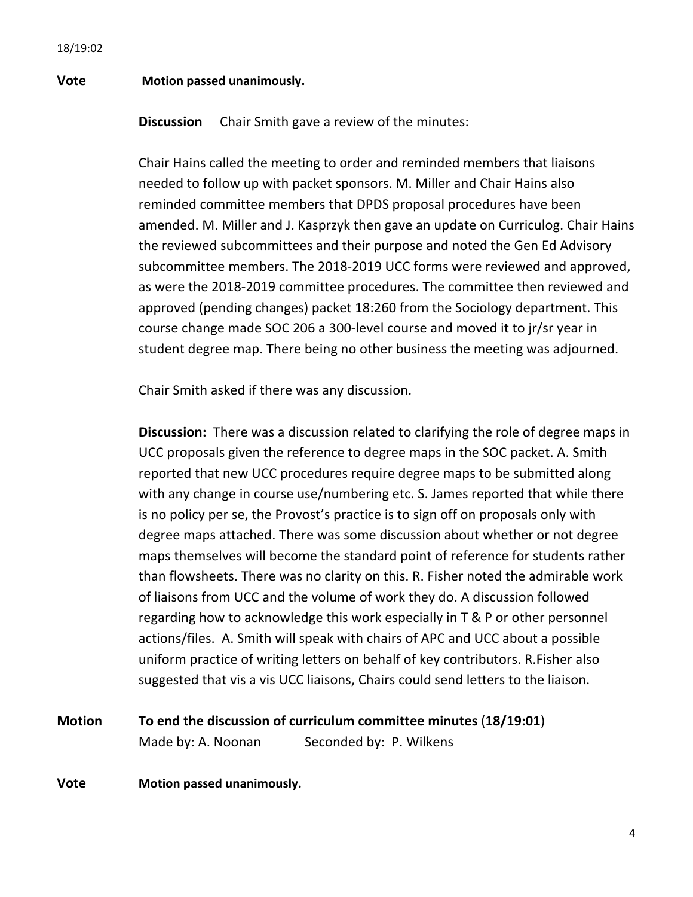#### **Vote Motion passed unanimously.**

**Discussion** Chair Smith gave a review of the minutes:

Chair Hains called the meeting to order and reminded members that liaisons needed to follow up with packet sponsors. M. Miller and Chair Hains also reminded committee members that DPDS proposal procedures have been amended. M. Miller and J. Kasprzyk then gave an update on Curriculog. Chair Hains the reviewed subcommittees and their purpose and noted the Gen Ed Advisory subcommittee members. The 2018-2019 UCC forms were reviewed and approved, as were the 2018-2019 committee procedures. The committee then reviewed and approved (pending changes) packet 18:260 from the Sociology department. This course change made SOC 206 a 300-level course and moved it to jr/sr year in student degree map. There being no other business the meeting was adjourned.

Chair Smith asked if there was any discussion.

**Discussion:** There was a discussion related to clarifying the role of degree maps in UCC proposals given the reference to degree maps in the SOC packet. A. Smith reported that new UCC procedures require degree maps to be submitted along with any change in course use/numbering etc. S. James reported that while there is no policy per se, the Provost's practice is to sign off on proposals only with degree maps attached. There was some discussion about whether or not degree maps themselves will become the standard point of reference for students rather than flowsheets. There was no clarity on this. R. Fisher noted the admirable work of liaisons from UCC and the volume of work they do. A discussion followed regarding how to acknowledge this work especially in  $T \& P$  or other personnel actions/files. A. Smith will speak with chairs of APC and UCC about a possible uniform practice of writing letters on behalf of key contributors. R. Fisher also suggested that vis a vis UCC liaisons, Chairs could send letters to the liaison.

```
Motion To end the discussion of curriculum committee minutes (18/19:01)
Made by: A. Noonan Seconded by: P. Wilkens
```
**Vote Motion passed unanimously.**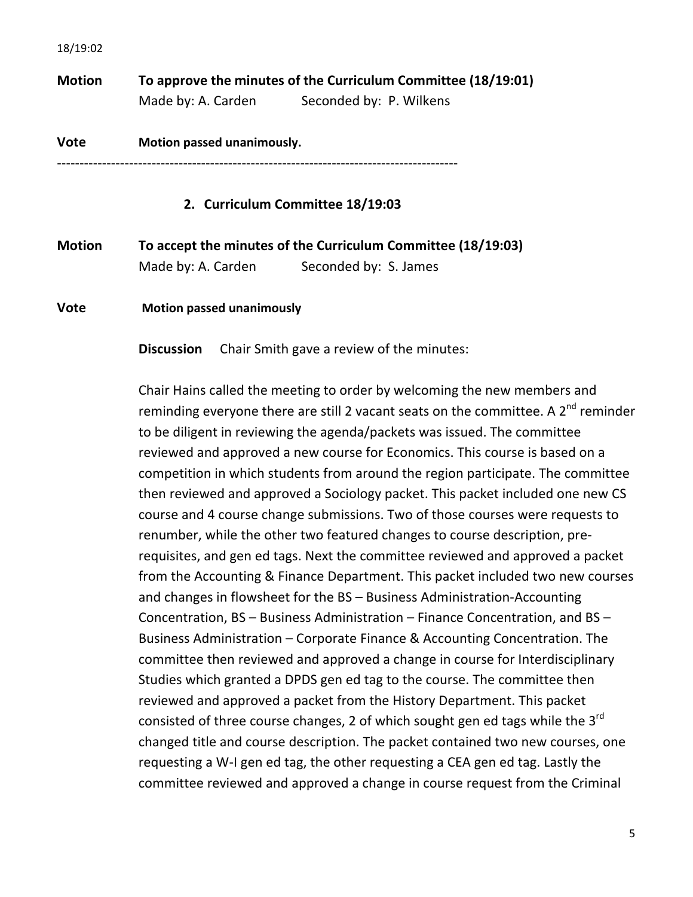**Motion To approve the minutes of the Curriculum Committee (18/19:01)** Made by: A. Carden Seconded by: P. Wilkens

**Vote Motion passed unanimously.** -----------------------------------------------------------------------------------------

## **2. Curriculum Committee 18/19:03**

| <b>Motion</b> | To accept the minutes of the Curriculum Committee (18/19:03) |                       |
|---------------|--------------------------------------------------------------|-----------------------|
|               | Made by: A. Carden                                           | Seconded by: S. James |

#### **Vote Motion** passed unanimously

**Discussion** Chair Smith gave a review of the minutes:

Chair Hains called the meeting to order by welcoming the new members and reminding everyone there are still 2 vacant seats on the committee. A  $2^{nd}$  reminder to be diligent in reviewing the agenda/packets was issued. The committee reviewed and approved a new course for Economics. This course is based on a competition in which students from around the region participate. The committee then reviewed and approved a Sociology packet. This packet included one new CS course and 4 course change submissions. Two of those courses were requests to renumber, while the other two featured changes to course description, prerequisites, and gen ed tags. Next the committee reviewed and approved a packet from the Accounting & Finance Department. This packet included two new courses and changes in flowsheet for the BS - Business Administration-Accounting Concentration, BS - Business Administration - Finance Concentration, and BS -Business Administration – Corporate Finance & Accounting Concentration. The committee then reviewed and approved a change in course for Interdisciplinary Studies which granted a DPDS gen ed tag to the course. The committee then reviewed and approved a packet from the History Department. This packet consisted of three course changes, 2 of which sought gen ed tags while the  $3^{rd}$ changed title and course description. The packet contained two new courses, one requesting a W-I gen ed tag, the other requesting a CEA gen ed tag. Lastly the committee reviewed and approved a change in course request from the Criminal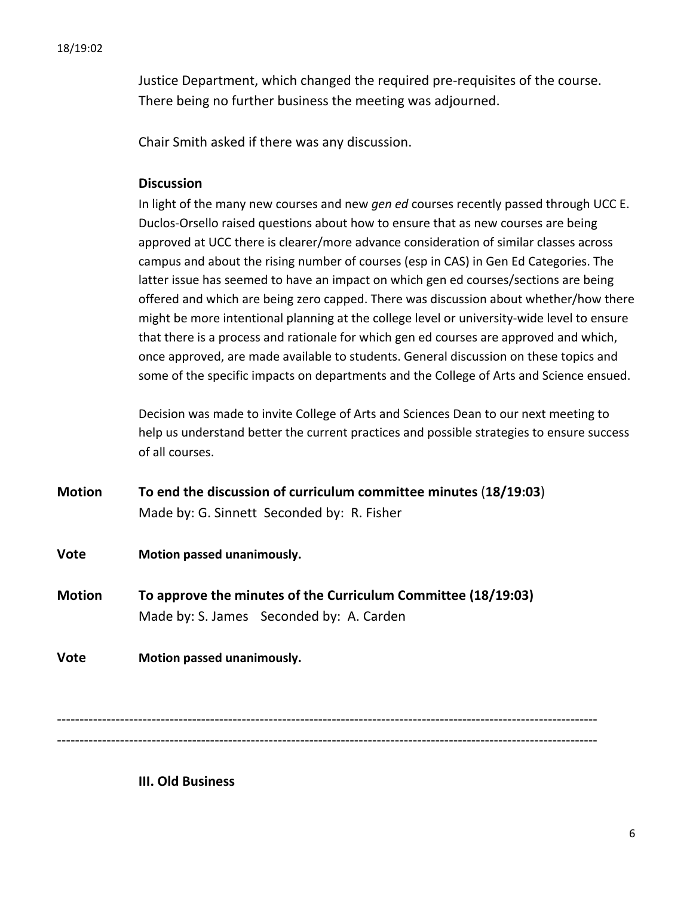Justice Department, which changed the required pre-requisites of the course. There being no further business the meeting was adjourned.

Chair Smith asked if there was any discussion.

# **Discussion**

In light of the many new courses and new *gen ed* courses recently passed through UCC E. Duclos-Orsello raised questions about how to ensure that as new courses are being approved at UCC there is clearer/more advance consideration of similar classes across campus and about the rising number of courses (esp in CAS) in Gen Ed Categories. The latter issue has seemed to have an impact on which gen ed courses/sections are being offered and which are being zero capped. There was discussion about whether/how there might be more intentional planning at the college level or university-wide level to ensure that there is a process and rationale for which gen ed courses are approved and which, once approved, are made available to students. General discussion on these topics and some of the specific impacts on departments and the College of Arts and Science ensued.

Decision was made to invite College of Arts and Sciences Dean to our next meeting to help us understand better the current practices and possible strategies to ensure success of all courses. 

- **Motion To end the discussion of curriculum committee minutes** (18/19:03) Made by: G. Sinnett Seconded by: R. Fisher
- **Vote Motion passed unanimously.**
- **Motion To approve the minutes of the Curriculum Committee (18/19:03)** Made by: S. James Seconded by: A. Carden

**Vote Motion passed unanimously.** 

------------------------------------------------------------------------------------------------------------------------ ------------------------------------------------------------------------------------------------------------------------

**III. Old Business**